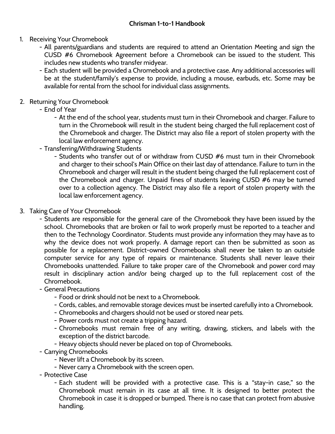- 1. Receiving Your Chromebook
	- All parents/guardians and students are required to attend an Orientation Meeting and sign the CUSD #6 Chromebook Agreement before a Chromebook can be issued to the student. This includes new students who transfer midyear.
	- Each student will be provided a Chromebook and a protective case. Any additional accessories will be at the student/family's expense to provide, including a mouse, earbuds, etc. Some may be available for rental from the school for individual class assignments.

### 2. Returning Your Chromebook

- End of Year
	- At the end of the school year, students must turn in their Chromebook and charger. Failure to turn in the Chromebook will result in the student being charged the full replacement cost of the Chromebook and charger. The District may also file a report of stolen property with the local law enforcement agency.
- Transferring/Withdrawing Students
	- Students who transfer out of or withdraw from CUSD #6 must turn in their Chromebook and charger to their school's Main Office on their last day of attendance. Failure to turn in the Chromebook and charger will result in the student being charged the full replacement cost of the Chromebook and charger. Unpaid fines of students leaving CUSD #6 may be turned over to a collection agency. The District may also file a report of stolen property with the local law enforcement agency.

## 3. Taking Care of Your Chromebook

- Students are responsible for the general care of the Chromebook they have been issued by the school. Chromebooks that are broken or fail to work properly must be reported to a teacher and then to the Technology Coordinator. Students must provide any information they may have as to why the device does not work properly. A damage report can then be submitted as soon as possible for a replacement. District-owned Chromebooks shall never be taken to an outside computer service for any type of repairs or maintenance. Students shall never leave their Chromebooks unattended. Failure to take proper care of the Chromebook and power cord may result in disciplinary action and/or being charged up to the full replacement cost of the Chromebook.
- General Precautions
	- Food or drink should not be next to a Chromebook.
	- Cords, cables, and removable storage devices must be inserted carefully into a Chromebook.
	- Chromebooks and chargers should not be used or stored near pets.
	- Power cords must not create a tripping hazard.
	- Chromebooks must remain free of any writing, drawing, stickers, and labels with the exception of the district barcode.
	- Heavy objects should never be placed on top of Chromebooks.
- Carrying Chromebooks
	- Never lift a Chromebook by its screen.
	- Never carry a Chromebook with the screen open.
- Protective Case
	- Each student will be provided with a protective case. This is a "stay-in case," so the Chromebook must remain in its case at all time. It is designed to better protect the Chromebook in case it is dropped or bumped. There is no case that can protect from abusive handling.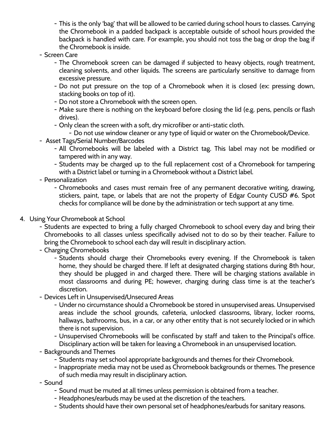- This is the only 'bag' that will be allowed to be carried during school hours to classes. Carrying the Chromebook in a padded backpack is acceptable outside of school hours provided the backpack is handled with care. For example, you should not toss the bag or drop the bag if the Chromebook is inside.
- Screen Care
	- The Chromebook screen can be damaged if subjected to heavy objects, rough treatment, cleaning solvents, and other liquids. The screens are particularly sensitive to damage from excessive pressure.
	- Do not put pressure on the top of a Chromebook when it is closed (ex: pressing down, stacking books on top of it).
	- Do not store a Chromebook with the screen open.
	- Make sure there is nothing on the keyboard before closing the lid (e.g. pens, pencils or flash drives).
	- Only clean the screen with a soft, dry microfiber or anti-static cloth.
		- Do not use window cleaner or any type of liquid or water on the Chromebook/Device.
- Asset Tags/Serial Number/Barcodes
	- All Chromebooks will be labeled with a District tag. This label may not be modified or tampered with in any way.
	- Students may be charged up to the full replacement cost of a Chromebook for tampering with a District label or turning in a Chromebook without a District label.
- Personalization
	- Chromebooks and cases must remain free of any permanent decorative writing, drawing, stickers, paint, tape, or labels that are not the property of Edgar County CUSD #6. Spot checks for compliance will be done by the administration or tech support at any time.
- 4. Using Your Chromebook at School
	- Students are expected to bring a fully charged Chromebook to school every day and bring their Chromebooks to all classes unless specifically advised not to do so by their teacher. Failure to bring the Chromebook to school each day will result in disciplinary action.
	- Charging Chromebooks
		- Students should charge their Chromebooks every evening. If the Chromebook is taken home, they should be charged there. If left at designated charging stations during 8th hour, they should be plugged in and charged there. There will be charging stations available in most classrooms and during PE; however, charging during class time is at the teacher's discretion.
	- Devices Left in Unsupervised/Unsecured Areas
		- Under no circumstance should a Chromebook be stored in unsupervised areas. Unsupervised areas include the school grounds, cafeteria, unlocked classrooms, library, locker rooms, hallways, bathrooms, bus, in a car, or any other entity that is not securely locked or in which there is not supervision.
		- Unsupervised Chromebooks will be confiscated by staff and taken to the Principal's office. Disciplinary action will be taken for leaving a Chromebook in an unsupervised location.
	- Backgrounds and Themes
		- Students may set school appropriate backgrounds and themes for their Chromebook.
		- Inappropriate media may not be used as Chromebook backgrounds or themes. The presence of such media may result in disciplinary action.
	- Sound
		- Sound must be muted at all times unless permission is obtained from a teacher.
		- Headphones/earbuds may be used at the discretion of the teachers.
		- Students should have their own personal set of headphones/earbuds for sanitary reasons.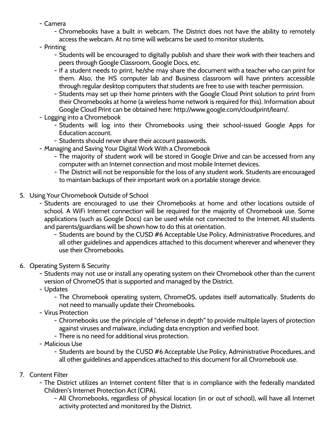- Camera
	- Chromebooks have a built in webcam. The District does not have the ability to remotely access the webcam. At no time will webcams be used to monitor students.
- Printing
	- Students will be encouraged to digitally publish and share their work with their teachers and peers through Google Classroom, Google Docs, etc.
	- If a student needs to print, he/she may share the document with a teacher who can print for them. Also, the HS computer lab and Business classroom will have printers accessible through regular desktop computers that students are free to use with teacher permission.
	- Students may set up their home printers with the Google Cloud Print solution to print from their Chromebooks at home (a wireless home network is required for this). Information about Google Cloud Print can be obtained here: http://www.google.com/cloudprint/learn/.
- Logging into a Chromebook
	- Students will log into their Chromebooks using their school-issued Google Apps for Education account.
	- Students should never share their account passwords.
- Managing and Saving Your Digital Work With a Chromebook
	- The majority of student work will be stored in Google Drive and can be accessed from any computer with an Internet connection and most mobile Internet devices.
	- The District will not be responsible for the loss of any student work. Students are encouraged to maintain backups of their important work on a portable storage device.
- 5. Using Your Chromebook Outside of School
	- Students are encouraged to use their Chromebooks at home and other locations outside of school. A WiFi Internet connection will be required for the majority of Chromebook use. Some applications (such as Google Docs) can be used while not connected to the Internet. All students and parents/guardians will be shown how to do this at orientation.
		- Students are bound by the CUSD #6 Acceptable Use Policy, Administrative Procedures, and all other guidelines and appendices attached to this document wherever and whenever they use their Chromebooks.
- 6. Operating System & Security
	- Students may not use or install any operating system on their Chromebook other than the current version of ChromeOS that is supported and managed by the District.
	- Updates
		- The Chromebook operating system, ChromeOS, updates itself automatically. Students do not need to manually update their Chromebooks.
	- Virus Protection
		- Chromebooks use the principle of "defense in depth" to provide multiple layers of protection against viruses and malware, including data encryption and verified boot.
		- There is no need for additional virus protection.
	- Malicious Use
		- Students are bound by the CUSD #6 Acceptable Use Policy, Administrative Procedures, and all other guidelines and appendices attached to this document for all Chromebook use.
- 7. Content Filter
	- The District utilizes an Internet content filter that is in compliance with the federally mandated Children's Internet Protection Act (CIPA).
		- All Chromebooks, regardless of physical location (in or out of school), will have all Internet activity protected and monitored by the District.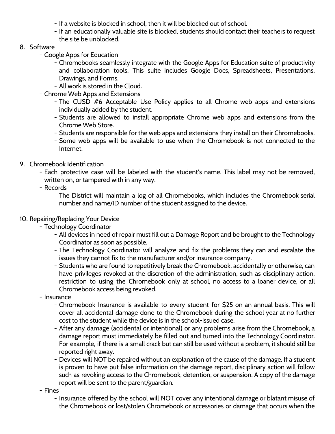- If a website is blocked in school, then it will be blocked out of school.
- If an educationally valuable site is blocked, students should contact their teachers to request the site be unblocked.

#### 8. Software

- Google Apps for Education
	- Chromebooks seamlessly integrate with the Google Apps for Education suite of productivity and collaboration tools. This suite includes Google Docs, Spreadsheets, Presentations, Drawings, and Forms.
	- All work is stored in the Cloud.
- Chrome Web Apps and Extensions
	- The CUSD #6 Acceptable Use Policy applies to all Chrome web apps and extensions individually added by the student.
	- Students are allowed to install appropriate Chrome web apps and extensions from the Chrome Web Store.
	- Students are responsible for the web apps and extensions they install on their Chromebooks.
	- Some web apps will be available to use when the Chromebook is not connected to the Internet.
- 9. Chromebook Identification
	- Each protective case will be labeled with the student's name. This label may not be removed,
		- written on, or tampered with in any way.
	- Records

The District will maintain a log of all Chromebooks, which includes the Chromebook serial number and name/ID number of the student assigned to the device.

#### 10. Repairing/Replacing Your Device

- Technology Coordinator
	- All devices in need of repair must fill out a Damage Report and be brought to the Technology Coordinator as soon as possible.
	- The Technology Coordinator will analyze and fix the problems they can and escalate the issues they cannot fix to the manufacturer and/or insurance company.
	- Students who are found to repetitively break the Chromebook, accidentally or otherwise, can have privileges revoked at the discretion of the administration, such as disciplinary action, restriction to using the Chromebook only at school, no access to a loaner device, or all Chromebook access being revoked.
- Insurance
	- Chromebook Insurance is available to every student for \$25 on an annual basis. This will cover all accidental damage done to the Chromebook during the school year at no further cost to the student while the device is in the school-issued case.
	- After any damage (accidental or intentional) or any problems arise from the Chromebook, a damage report must immediately be filled out and turned into the Technology Coordinator. For example, if there is a small crack but can still be used without a problem, it should still be reported right away.
	- Devices will NOT be repaired without an explanation of the cause of the damage. If a student is proven to have put false information on the damage report, disciplinary action will follow such as revoking access to the Chromebook, detention, or suspension. A copy of the damage report will be sent to the parent/guardian.
- Fines
	- Insurance offered by the school will NOT cover any intentional damage or blatant misuse of the Chromebook or lost/stolen Chromebook or accessories or damage that occurs when the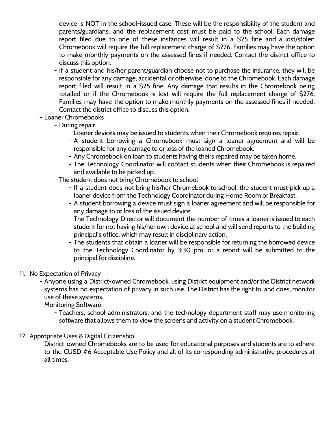device is NOT in the school-issued case. These will be the responsibility of the student and parents/guardians, and the replacement cost must be paid to the school. Each damage report filed due to one of these instances will result in a \$25 fine and a lost/stolen Chromebook will require the full replacement charge of \$276. Families may have the option to make monthly payments on the assessed fines if needed. Contact the district office to discuss this option.

- If a student and his/her parent/guardian choose not to purchase the insurance, they will be responsible for any damage, accidental or otherwise, done to the Chromebook. Each damage report filed will result in a \$25 fine. Any damage that results in the Chromebook being totalled or if the Chromebook is lost will require the full replacement charge of \$276. Families may have the option to make monthly payments on the assessed fines if needed. Contact the district office to discuss this option.
- Loaner Chromebooks
	- During repair
		- Loaner devices may be issued to students when their Chromebook requires repair.
		- A student borrowing a Chromebook must sign a loaner agreement and will be responsible for any damage to or loss of the loaned Chromebook.
		- Any Chromebook on loan to students having theirs repaired may be taken home.
		- The Technology Coordinator will contact students when their Chromebook is repaired and available to be picked up.
	- The student does not bring Chromebook to school
		- If a student does not bring his/her Chromebook to school, the student must pick up a loaner device from the Technology Coordinator during Home Room or Breakfast.
		- A student borrowing a device must sign a loaner agreement and will be responsible for any damage to or loss of the issued device.
		- The Technology Director will document the number of times a loaner is issued to each student for not having his/her own device at school and will send reports to the building principal's office, which may result in disciplinary action.
		- The students that obtain a loaner will be responsible for returning the borrowed device to the Technology Coordinator by 3:30 pm, or a report will be submitted to the principal for discipline.
- 11. No Expectation of Privacy
	- Anyone using a District-owned Chromebook, using District equipment and/or the District network systems has no expectation of privacy in such use. The District has the right to, and does, monitor use of these systems.
	- Monitoring Software
		- Teachers, school administrators, and the technology department staff may use monitoring software that allows them to view the screens and activity on a student Chromebook.
- 12. Appropriate Uses & Digital Citizenship
	- District-owned Chromebooks are to be used for educational purposes and students are to adhere to the CUSD #6 Acceptable Use Policy and all of its corresponding administrative procedures at all times.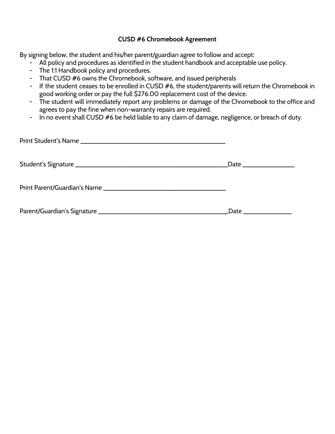#### **CUSD #6 Chromebook Agreement**

By signing below, the student and his/her parent/guardian agree to follow and accept:

- All policy and procedures as identified in the student handbook and acceptable use policy.
- The 1:1 Handbook policy and procedures.
- That CUSD #6 owns the Chromebook, software, and issued peripherals
- If the student ceases to be enrolled in CUSD #6, the student/parents will return the Chromebook in good working order or pay the full \$276.00 replacement cost of the device.
- The student will immediately report any problems or damage of the Chromebook to the office and agrees to pay the fine when non-warranty repairs are required.
- In no event shall CUSD #6 be held liable to any claim of damage, negligence, or breach of duty.

| Date _________________ |
|------------------------|
|                        |
| Date _______________   |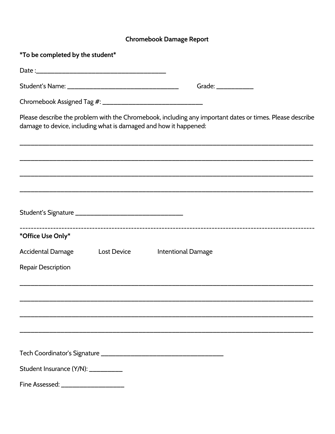# Chromebook Damage Report

| <i>*</i> To be completed by the student*                         |                                                                                                          |
|------------------------------------------------------------------|----------------------------------------------------------------------------------------------------------|
|                                                                  |                                                                                                          |
|                                                                  | Grade: ____________                                                                                      |
|                                                                  |                                                                                                          |
| damage to device, including what is damaged and how it happened: | Please describe the problem with the Chromebook, including any important dates or times. Please describe |
|                                                                  |                                                                                                          |
|                                                                  |                                                                                                          |
|                                                                  |                                                                                                          |
| *Office Use Only*                                                |                                                                                                          |
| Accidental Damage<br><b>Lost Device</b>                          | <b>Intentional Damage</b>                                                                                |
| <b>Repair Description</b>                                        |                                                                                                          |
|                                                                  |                                                                                                          |
|                                                                  |                                                                                                          |
|                                                                  |                                                                                                          |
|                                                                  |                                                                                                          |
| Student Insurance (Y/N): __________                              |                                                                                                          |
| Fine Assessed: _____________________                             |                                                                                                          |